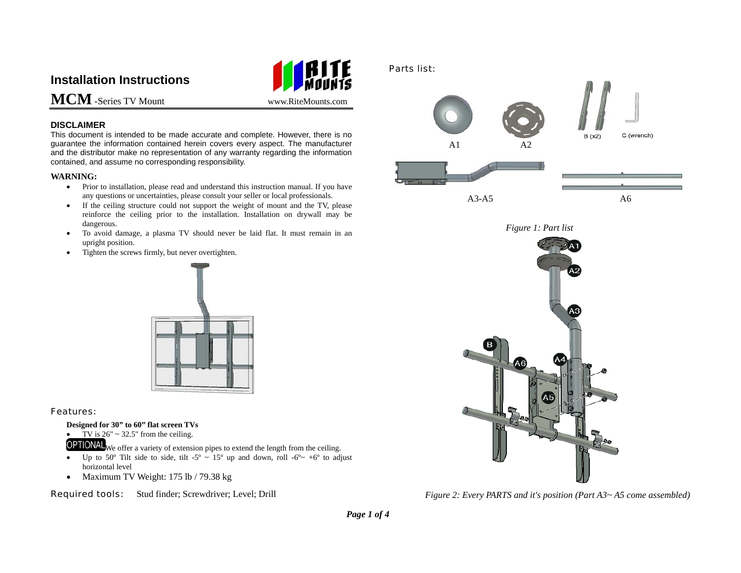# **Installation Instructions**



**MCM**-Series TV Mount www.RiteMounts.com

## **DISCLAIMER**

This document is intended to be made accurate and complete. However, there is no guarantee the information contained herein covers every aspect. The manufacturer and the distributor make no representation of any warranty regarding the information contained, and assume no corresponding responsibility.

## **WARNING:**

- Prior to installation, please read and understand this instruction manual. If you have any questions or uncertainties, please consult your seller or local professionals.
- • If the ceiling structure could not support the weight of mount and the TV, please reinforce the ceiling prior to the installation. Installation on drywall may be dangerous.
- • To avoid damage, a plasma TV should never be laid flat. It must remain in an upright position.
- •Tighten the screws firmly, but never overtighten.



## Features:

## **Designed for 30" to 60" flat screen TVs**

- •TV is  $26" \sim 32.5"$  from the ceiling.
- **OPTIONAL** We offer a variety of extension pipes to extend the length from the ceiling.
- •Up to 50° Tilt side to side, tilt -5° ~ 15° up and down, roll -6°  $\sim$  +6° to adjust horizontal level
- Maximum TV Weight: 175 lb / 79.38 kg

Required tools: Stud finder; Screwdriver; Level; Drill

# $A1 \tA2$

Parts list:



C (wrench)

 $B(x2)$ 





*Figure 2: Every PARTS and it's position (Part A3~ A5 come assembled)*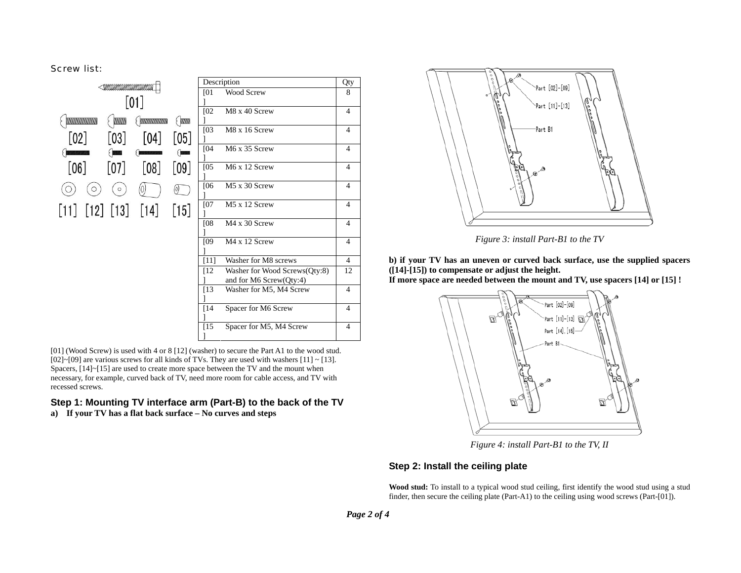Screw list:



[01] (Wood Screw) is used with 4 or 8 [12] (washer) to secure the Part A1 to the wood stud.  $[02]~[09]$  are various screws for all kinds of TVs. They are used with washers  $[11] ~[13]$ . Spacers, [14]~[15] are used to create more space between the TV and the mount when necessary, for example, curved back of TV, need more room for cable access, and TV with recessed screws.

## **Step 1: Mounting TV interface arm (Part-B) to the back of the TV a) If your TV has a flat back surface – No curves and steps**



*Figure 3: install Part-B1 to the TV* 

**b) if your TV has an uneven or curved back surface, use the supplied spacers ([14]-[15]) to compensate or adjust the height.** 

**If more space are needed between the mount and TV, use spacers [14] or [15] !** 



*Figure 4: install Part-B1 to the TV, II* 

# **Step 2: Install the ceiling plate**

**Wood stud:** To install to a typical wood stud ceiling, first identify the wood stud using a stud finder, then secure the ceiling plate (Part-A1) to the ceiling using wood screws (Part-[01]).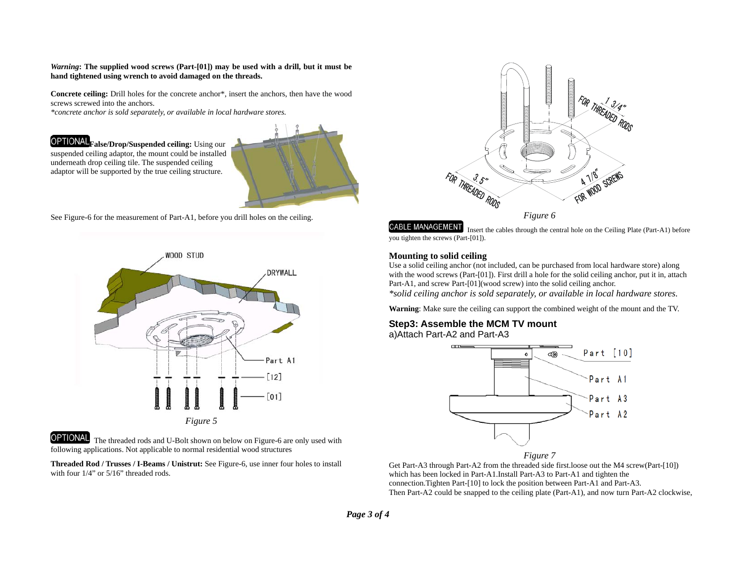#### *Warning***: The supplied wood screws (Part-[01]) may be used with a drill, but it must be hand tightened using wrench to avoid damaged on the threads.**

**Concrete ceiling:** Drill holes for the concrete anchor\*, insert the anchors, then have the wood screws screwed into the anchors.

*\*concrete anchor is sold separately, or available in local hardware stores.*

**False/Drop/Suspended ceiling:** Using our suspended ceiling adaptor, the mount could be installed underneath drop ceiling tile. The suspended ceiling adaptor will be supported by the true ceiling structure.



See Figure-6 for the measurement of Part-A1, before you drill holes on the ceiling.



## OPTIONAL

The threaded rods and U-Bolt shown on below on Figure-6 are only used with following applications. Not applicable to normal residential wood structures

**Threaded Rod / Trusses / I-Beams / Unistrut:** See Figure-6, use inner four holes to install with four  $1/4$ " or  $5/16$ " threaded rods.



**CABLE MANAGEMENT** Insert the cables through the central hole on the Ceiling Plate (Part-A1) before you tighten the screws (Part-[01]).

### **Mounting to solid ceiling**

Use a solid ceiling anchor (not included, can be purchased from local hardware store) along with the wood screws (Part-[01]). First drill a hole for the solid ceiling anchor, put it in, attach Part-A1, and screw Part-[01](wood screw) into the solid ceiling anchor.

*\*solid ceiling anchor is sold separately, or available in local hardware stores.* 

**Warning**: Make sure the ceiling can support the combined weight of the mount and the TV.

# **Step3: Assemble the MCM TV mount**

a)Attach Part-A2 and Part-A3



*Figure 7*

Get Part-A3 through Part-A2 from the threaded side first.loose out the M4 screw(Part-[10]) which has been locked in Part-A1.Install Part-A3 to Part-A1 and tighten the connection.Tighten Part-[10] to lock the position between Part-A1 and Part-A3. Then Part-A2 could be snapped to the ceiling plate (Part-A1), and now turn Part-A2 clockwise,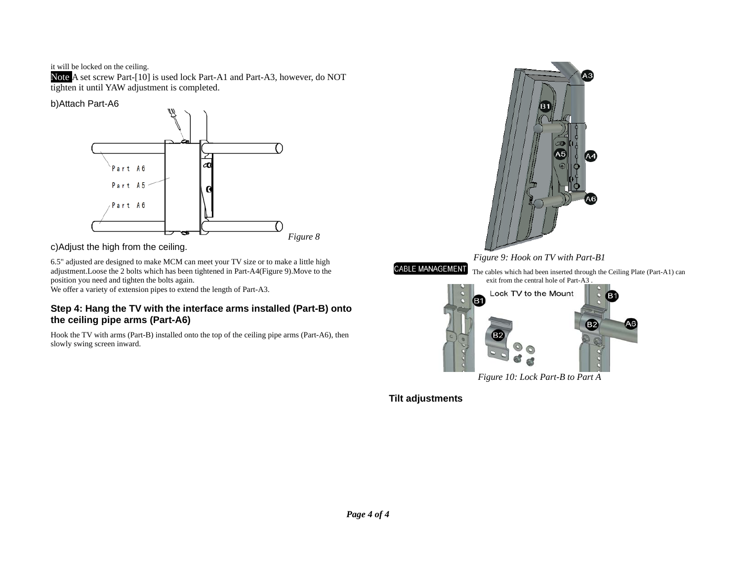it will be locked on the ceiling.

Note A set screw Part-[10] is used lock Part-A1 and Part-A3, however, do NOT tighten it until YAW adjustment is completed.

# b)Attach Part-A6



c)Adjust the high from the ceiling.

6.5" adjusted are designed to make MCM can meet your TV size or to make a little high adjustment.Loose the 2 bolts which has been tightened in Part-A4(Figure 9).Move to the position you need and tighten the bolts again.

We offer a variety of extension pipes to extend the length of Part-A3.

# **Step 4: Hang the TV with the interface arms installed (Part-B) onto the ceiling pipe arms (Part-A6)**

Hook the TV with arms (Part-B) installed onto the top of the ceiling pipe arms (Part-A6), then slowly swing screen inward.



**Tilt adjustments**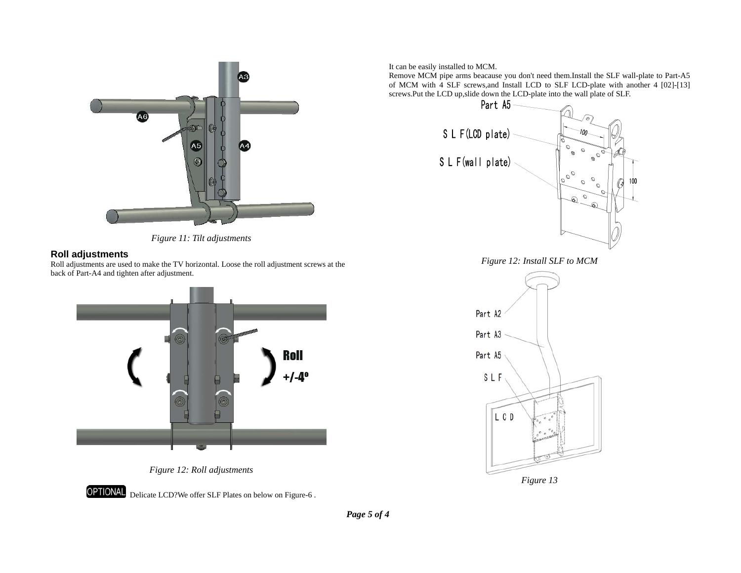



# **Roll adjustments**

Roll adjustments are used to make the TV horizontal. Loose the roll adjustment screws at the back of Part-A4 and tighten after adjustment.





**OPTIONAL** Delicate LCD?We offer SLF Plates on below on Figure-6 . It can be easily installed to MCM.

Remove MCM pipe arms beacause you don't need them.Install the SLF wall-plate to Part-A5 of MCM with 4 SLF screws,and Install LCD to SLF LCD-plate with another 4 [02]-[13] screws.Put the LCD up, slide down the LCD-plate into the wall plate of SLF.<br>Part  $\overline{A5}$ 



*Figure 12: Install SLF to MCM*